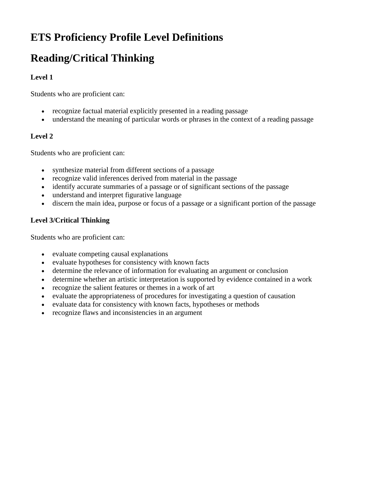# **ETS Proficiency Profile Level Definitions**

## **Reading/Critical Thinking**

#### **Level 1**

Students who are proficient can:

- recognize factual material explicitly presented in a reading passage
- understand the meaning of particular words or phrases in the context of a reading passage

#### **Level 2**

Students who are proficient can:

- synthesize material from different sections of a passage
- recognize valid inferences derived from material in the passage
- identify accurate summaries of a passage or of significant sections of the passage
- understand and interpret figurative language
- discern the main idea, purpose or focus of a passage or a significant portion of the passage

#### **Level 3/Critical Thinking**

Students who are proficient can:

- evaluate competing causal explanations
- evaluate hypotheses for consistency with known facts
- determine the relevance of information for evaluating an argument or conclusion
- determine whether an artistic interpretation is supported by evidence contained in a work
- recognize the salient features or themes in a work of art
- evaluate the appropriateness of procedures for investigating a question of causation
- evaluate data for consistency with known facts, hypotheses or methods
- recognize flaws and inconsistencies in an argument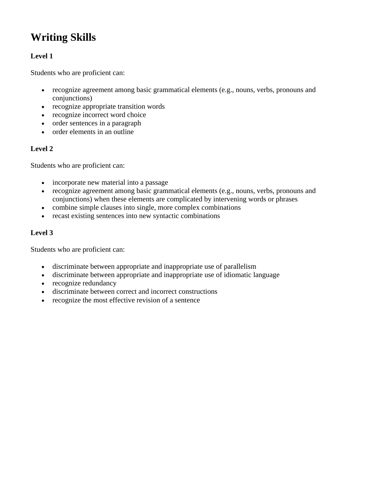# **Writing Skills**

#### **Level 1**

Students who are proficient can:

- recognize agreement among basic grammatical elements (e.g., nouns, verbs, pronouns and conjunctions)
- recognize appropriate transition words
- recognize incorrect word choice
- order sentences in a paragraph
- $\bullet$  order elements in an outline

#### **Level 2**

Students who are proficient can:

- incorporate new material into a passage
- recognize agreement among basic grammatical elements (e.g., nouns, verbs, pronouns and conjunctions) when these elements are complicated by intervening words or phrases
- combine simple clauses into single, more complex combinations
- recast existing sentences into new syntactic combinations

#### **Level 3**

Students who are proficient can:

- discriminate between appropriate and inappropriate use of parallelism
- discriminate between appropriate and inappropriate use of idiomatic language
- recognize redundancy
- discriminate between correct and incorrect constructions
- recognize the most effective revision of a sentence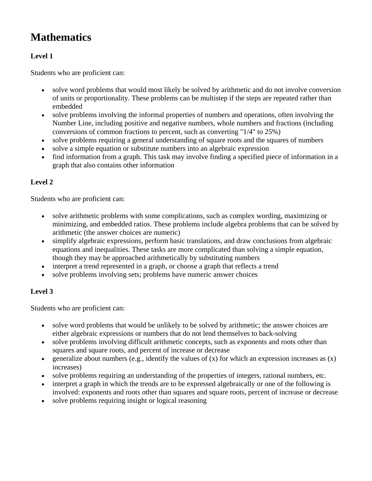### **Mathematics**

#### **Level 1**

Students who are proficient can:

- solve word problems that would most likely be solved by arithmetic and do not involve conversion of units or proportionality. These problems can be multistep if the steps are repeated rather than embedded
- solve problems involving the informal properties of numbers and operations, often involving the Number Line, including positive and negative numbers, whole numbers and fractions (including conversions of common fractions to percent, such as converting "1/4" to 25%)
- solve problems requiring a general understanding of square roots and the squares of numbers
- solve a simple equation or substitute numbers into an algebraic expression
- find information from a graph. This task may involve finding a specified piece of information in a graph that also contains other information

#### **Level 2**

Students who are proficient can:

- solve arithmetic problems with some complications, such as complex wording, maximizing or minimizing, and embedded ratios. These problems include algebra problems that can be solved by arithmetic (the answer choices are numeric)
- simplify algebraic expressions, perform basic translations, and draw conclusions from algebraic equations and inequalities. These tasks are more complicated than solving a simple equation, though they may be approached arithmetically by substituting numbers
- interpret a trend represented in a graph, or choose a graph that reflects a trend
- solve problems involving sets; problems have numeric answer choices

### **Level 3**

Students who are proficient can:

- solve word problems that would be unlikely to be solved by arithmetic; the answer choices are either algebraic expressions or numbers that do not lend themselves to back-solving
- solve problems involving difficult arithmetic concepts, such as exponents and roots other than squares and square roots, and percent of increase or decrease
- e generalize about numbers (e.g., identify the values of  $(x)$  for which an expression increases as  $(x)$ ) increases)
- solve problems requiring an understanding of the properties of integers, rational numbers, etc.
- interpret a graph in which the trends are to be expressed algebraically or one of the following is involved: exponents and roots other than squares and square roots, percent of increase or decrease
- solve problems requiring insight or logical reasoning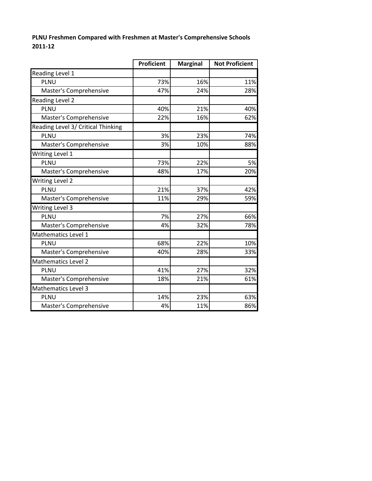#### **PLNU Freshmen Compared with Freshmen at Master's Comprehensive Schools 2011‐12**

|                                    | <b>Proficient</b> | <b>Marginal</b> | <b>Not Proficient</b> |
|------------------------------------|-------------------|-----------------|-----------------------|
| Reading Level 1                    |                   |                 |                       |
| PLNU                               | 73%               | 16%             | 11%                   |
| Master's Comprehensive             | 47%               | 24%             | 28%                   |
| Reading Level 2                    |                   |                 |                       |
| PLNU                               | 40%               | 21%             | 40%                   |
| Master's Comprehensive             | 22%               | 16%             | 62%                   |
| Reading Level 3/ Critical Thinking |                   |                 |                       |
| PLNU                               | 3%                | 23%             | 74%                   |
| Master's Comprehensive             | 3%                | 10%             | 88%                   |
| Writing Level 1                    |                   |                 |                       |
| PLNU                               | 73%               | 22%             | 5%                    |
| Master's Comprehensive             | 48%               | 17%             | 20%                   |
| <b>Writing Level 2</b>             |                   |                 |                       |
| <b>PLNU</b>                        | 21%               | 37%             | 42%                   |
| Master's Comprehensive             | 11%               | 29%             | 59%                   |
| <b>Writing Level 3</b>             |                   |                 |                       |
| PLNU                               | 7%                | 27%             | 66%                   |
| Master's Comprehensive             | 4%                | 32%             | 78%                   |
| Mathematics Level 1                |                   |                 |                       |
| PLNU                               | 68%               | 22%             | 10%                   |
| Master's Comprehensive             | 40%               | 28%             | 33%                   |
| <b>Mathematics Level 2</b>         |                   |                 |                       |
| <b>PLNU</b>                        | 41%               | 27%             | 32%                   |
| Master's Comprehensive             | 18%               | 21%             | 61%                   |
| <b>Mathematics Level 3</b>         |                   |                 |                       |
| <b>PLNU</b>                        | 14%               | 23%             | 63%                   |
| Master's Comprehensive             | 4%                | 11%             | 86%                   |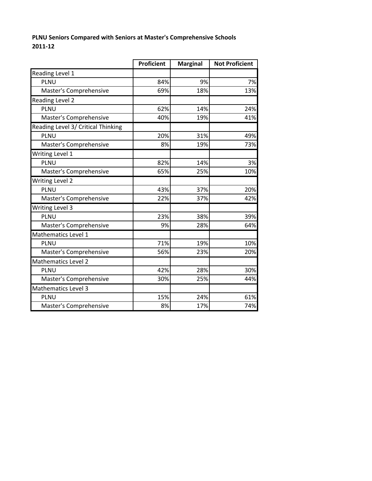#### **PLNU Seniors Compared with Seniors at Master's Comprehensive Schools 2011‐12**

|                                    | <b>Proficient</b> | <b>Marginal</b> | <b>Not Proficient</b> |
|------------------------------------|-------------------|-----------------|-----------------------|
| Reading Level 1                    |                   |                 |                       |
| <b>PLNU</b>                        | 84%               | 9%              | 7%                    |
| Master's Comprehensive             | 69%               | 18%             | 13%                   |
| Reading Level 2                    |                   |                 |                       |
| PLNU                               | 62%               | 14%             | 24%                   |
| Master's Comprehensive             | 40%               | 19%             | 41%                   |
| Reading Level 3/ Critical Thinking |                   |                 |                       |
| <b>PLNU</b>                        | 20%               | 31%             | 49%                   |
| Master's Comprehensive             | 8%                | 19%             | 73%                   |
| Writing Level 1                    |                   |                 |                       |
| PLNU                               | 82%               | 14%             | 3%                    |
| Master's Comprehensive             | 65%               | 25%             | 10%                   |
| <b>Writing Level 2</b>             |                   |                 |                       |
| PLNU                               | 43%               | 37%             | 20%                   |
| Master's Comprehensive             | 22%               | 37%             | 42%                   |
| <b>Writing Level 3</b>             |                   |                 |                       |
| PLNU                               | 23%               | 38%             | 39%                   |
| Master's Comprehensive             | 9%                | 28%             | 64%                   |
| Mathematics Level 1                |                   |                 |                       |
| PLNU                               | 71%               | 19%             | 10%                   |
| Master's Comprehensive             | 56%               | 23%             | 20%                   |
| Mathematics Level 2                |                   |                 |                       |
| PLNU                               | 42%               | 28%             | 30%                   |
| Master's Comprehensive             | 30%               | 25%             | 44%                   |
| Mathematics Level 3                |                   |                 |                       |
| PLNU                               | 15%               | 24%             | 61%                   |
| Master's Comprehensive             | 8%                | 17%             | 74%                   |